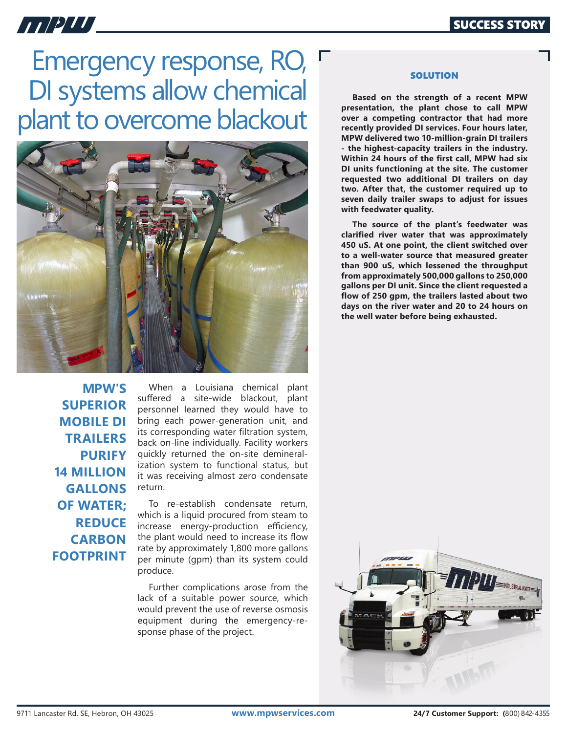## *HIPUL*

## Emergency response, RO, DI systems allow chemical plant to overcome blackout



**MPW'S SUPERIOR MOBILE DI TRAILERS PURIFY 14 MILLION GALLONS OF WATER; REDUCE CARBON FOOTPRINT**

When a Louisiana chemical plant suffered a site-wide blackout, plant personnel learned they would have to bring each power-generation unit, and its corresponding water filtration system, back on-line individually. Facility workers quickly returned the on-site demineralization system to functional status, but it was receiving almost zero condensate return.

To re-establish condensate return, which is a liquid procured from steam to increase energy-production efficiency, the plant would need to increase its flow rate by approximately 1,800 more gallons per minute (gpm) than its system could produce.

Further complications arose from the lack of a suitable power source, which would prevent the use of reverse osmosis equipment during the emergency-response phase of the project.

## **SOLUTION**

**Based on the strength of a recent MPW presentation, the plant chose to call MPW over a competing contractor that had more recently provided DI services. Four hours later, MPW delivered two 10-million-grain DI trailers - the highest-capacity trailers in the industry. Within 24 hours of the first call, MPW had six DI units functioning at the site. The customer requested two additional DI trailers on day two. After that, the customer required up to seven daily trailer swaps to adjust for issues with feedwater quality.** 

**The source of the plant's feedwater was clarified river water that was approximately 450 uS. At one point, the client switched over to a well-water source that measured greater than 900 uS, which lessened the throughput from approximately 500,000 gallons to 250,000 gallons per DI unit. Since the client requested a flow of 250 gpm, the trailers lasted about two days on the river water and 20 to 24 hours on the well water before being exhausted.**